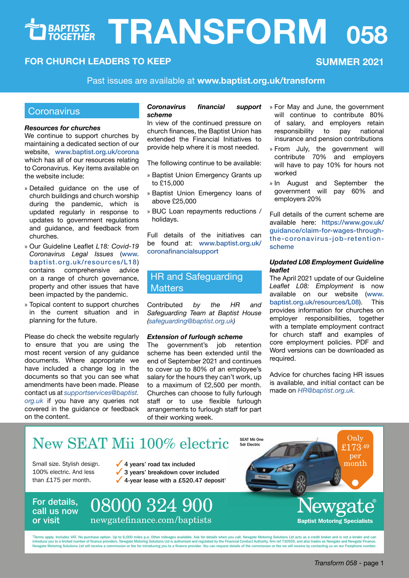# $TRANSFORM 058$

# **FOR CHURCH LEADERS TO KEEP SUMMER 2021**

Past issues are available at **[www.baptist.org.uk/transform](http://www.baptist.org.uk/transform)**

# **Coronavirus**

#### *Resources for churches*

We continue to support churches by maintaining a dedicated section of our website, [www.baptist.org.uk/corona](https://www.baptist.org.uk/corona) which has all of our resources relating to Coronavirus. Key items available on the website include:

- » Detailed guidance on the use of church buildings and church worship during the pandemic, which is updated regularly in response to updates to government regulations and guidance, and feedback from churches.
- » Our Guideline Leaflet *L18: Covid-19 Coronavirus Legal Issues* ([www.](https://www.baptist.org.uk/resources/L18) [baptist.org.uk/resources/L18](https://www.baptist.org.uk/resources/L18)) contains comprehensive advice on a range of church governance, property and other issues that have been impacted by the pandemic.
- » Topical content to support churches in the current situation and in planning for the future.

Please do check the website regularly to ensure that you are using the most recent version of any guidance documents. Where appropriate we have included a change log in the documents so that you can see what amendments have been made. Please contact us at *supportservices@baptist. org.uk* if you have any queries not covered in the guidance or feedback on the content.

## *Coronavirus financial support scheme*

In view of the continued pressure on church finances, the Baptist Union has extended the Financial Initiatives to provide help where it is most needed.

The following continue to be available:

- » Baptist Union Emergency Grants up to £15,000
- » Baptist Union Emergency loans of above £25,000
- » BUC Loan repayments reductions / holidays.

Full details of the initiatives can be found at: [www.baptist.org.uk/](https://www.baptist.org.uk/coronafinancialsupport) [coronafinancialsupport](https://www.baptist.org.uk/coronafinancialsupport)

# HR and Safeguarding **Matters**

Contributed *by the HR and Safeguarding Team at Baptist House (safeguarding@baptist.org.uk)* 

## *Extension of furlough scheme*

The government's job retention scheme has been extended until the end of September 2021 and continues to cover up to 80% of an employee's salary for the hours they can't work, up to a maximum of £2,500 per month. Churches can choose to fully furlough staff or to use flexible furlough arrangements to furlough staff for part of their working week.

- » For May and June, the government will continue to contribute 80% of salary, and employers retain<br>responsibility to pay national responsibility to insurance and pension contributions
- » From July, the government will contribute 70% and employers will have to pay 10% for hours not worked
- » In August and September the government will employers 20%

Full details of the current scheme are available here: [https://www.gov.uk/](https://www.gov.uk/guidance/claim-for-wages-through-the-coronavirus-job-retention-scheme) [guidance/claim-for-wages-through](https://www.gov.uk/guidance/claim-for-wages-through-the-coronavirus-job-retention-scheme)[the-coronavirus-job-retention](https://www.gov.uk/guidance/claim-for-wages-through-the-coronavirus-job-retention-scheme)[scheme](https://www.gov.uk/guidance/claim-for-wages-through-the-coronavirus-job-retention-scheme)

# *Updated L08 Employment Guideline leaflet*

The April 2021 update of our Guideline *Leaflet L08: Employment* is now available on our website ([www.](https://www.baptist.org.uk/resources/L08) [baptist.org.uk/resources/L08](https://www.baptist.org.uk/resources/L08)). This provides information for churches on employer responsibilities, together with a template employment contract for church staff and examples of core employment policies. PDF and Word versions can be downloaded as required.

Advice for churches facing HR issues is available, and initial contact can be made on *HR@baptist.org.uk.*

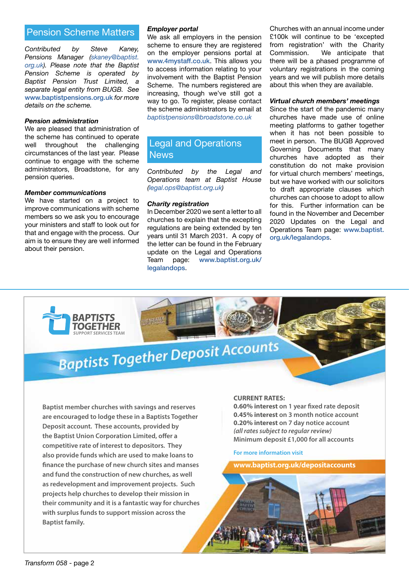# Pension Scheme Matters

*Contributed by Steve Kaney, Pensions Manager (skaney@baptist. org.uk). Please note that the Baptist Pension Scheme is operated by Baptist Pension Trust Limited, a separate legal entity from BUGB. See* [www.baptistpensions.org.uk](http://www.baptistpensions.org.uk) *for more details on the scheme.*

## *Pension administration*

We are pleased that administration of the scheme has continued to operate well throughout the challenging circumstances of the last year. Please continue to engage with the scheme administrators, Broadstone, for any pension queries.

## *Member communications*

We have started on a project to improve communications with scheme members so we ask you to encourage your ministers and staff to look out for that and engage with the process. Our aim is to ensure they are well informed about their pension.

# *Employer portal*

We ask all employers in the pension scheme to ensure they are registered on the employer pensions portal at [www.4mystaff.co.uk](http://www.4mystaff.co.uk). This allows you to access information relating to your involvement with the Baptist Pension Scheme. The numbers registered are increasing, though we've still got a way to go. To register, please contact the scheme administrators by email at *baptistpensions@broadstone.co.uk*

# Legal and Operations **News**

*Contributed by the Legal and Operations team at Baptist House (legal.ops@baptist.org.uk)* 

# *Charity registration*

In December 2020 we sent a letter to all churches to explain that the excepting regulations are being extended by ten years until 31 March 2031. A copy of the letter can be found in the February update on the Legal and Operations Team page: [www.baptist.org.uk/](https://www.baptist.org.uk/legalandops) [legalandops](https://www.baptist.org.uk/legalandops).

Churches with an annual income under £100k will continue to be 'excepted from registration' with the Charity Commission. We anticipate that there will be a phased programme of voluntary registrations in the coming years and we will publish more details about this when they are available.

# *Virtual church members' meetings*

Since the start of the pandemic many churches have made use of online meeting platforms to gather together when it has not been possible to meet in person. The BUGB Approved Governing Documents that many churches have adopted as their constitution do not make provision for virtual church members' meetings, but we have worked with our solicitors to draft appropriate clauses which churches can choose to adopt to allow for this. Further information can be found in the November and December 2020 Updates on the Legal and Operations Team page: [www.baptist.](https://www.baptist.org.uk/legalandops) [org.uk/legalandops](https://www.baptist.org.uk/legalandops).

# **Baptists Together Deposit Accounts**

**Baptist member churches with savings and reserves are encouraged to lodge these in a Baptists Together Deposit account. These accounts, provided by the Baptist Union Corporation Limited, offer a competitive rate of interest to depositors. They also provide funds which are used to make loans to finance the purchase of new church sites and manses and fund the construction of new churches, as well as redevelopment and improvement projects. Such projects help churches to develop their mission in their community and it is a fantastic way for churches with surplus funds to support mission across the Baptist family.**

## **CURRENT RATES:**

**0.60% interest on 1 year fixed rate deposit 0.45% interest on 3 month notice account 0.20% interest on 7 day notice account** *(all rates subject to regular review)* **Minimum deposit £1,000 for all accounts**

**For more information visit**

**www.baptist.org.uk/depositaccounts**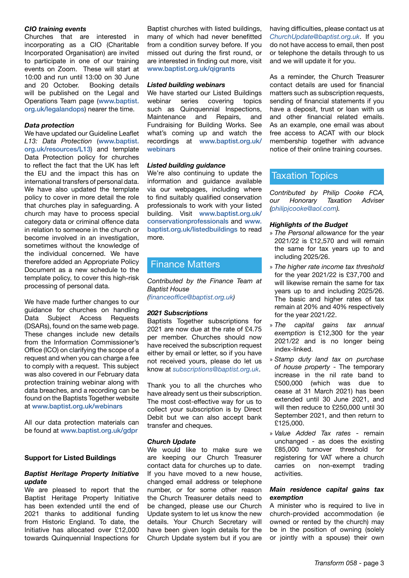# *CIO training events*

Churches that are interested in incorporating as a CIO (Charitable Incorporated Organisation) are invited to participate in one of our training events on Zoom. These will start at 10:00 and run until 13:00 on 30 June and 20 October. Booking details will be published on the Legal and Operations Team page ([www.baptist.](https://www.baptist.org.uk/legalandops) [org.uk/legalandops](https://www.baptist.org.uk/legalandops)) nearer the time.

# *Data protection*

We have updated our Guideline Leaflet *L13: Data Protection* ([www.baptist.](https://www.baptist.org.uk/resources/L13) [org.uk/resources/L13](https://www.baptist.org.uk/resources/L13)) and template Data Protection policy for churches to reflect the fact that the UK has left the EU and the impact this has on international transfers of personal data. We have also updated the template policy to cover in more detail the role that churches play in safeguarding. A church may have to process special category data or criminal offence data in relation to someone in the church or become involved in an investigation, sometimes without the knowledge of the individual concerned. We have therefore added an Appropriate Policy Document as a new schedule to the template policy, to cover this high-risk processing of personal data.

We have made further changes to our guidance for churches on handling<br>Data Subiect Access Requests Subject Access Requests (DSARs), found on the same web page. These changes include new details from the Information Commissioner's Office (ICO) on clarifying the scope of a request and when you can charge a fee to comply with a request. This subject was also covered in our February data protection training webinar along with data breaches, and a recording can be found on the Baptists Together website at [www.baptist.org.uk/webinars](https://www.baptist.org.uk/webinars)

All our data protection materials can be found at [www.baptist.org.uk/gdpr](https://www.baptist.org.uk/gdpr)

## **Support for Listed Buildings**

# *Baptist Heritage Property Initiative update*

We are pleased to report that the Baptist Heritage Property Initiative has been extended until the end of 2021 thanks to additional funding from Historic England. To date, the Initiative has allocated over £12,000 towards Quinquennial Inspections for Baptist churches with listed buildings, many of which had never benefitted from a condition survey before. If you missed out during the first round, or are interested in finding out more, visit [www.baptist.org.uk/qigrants](https://www.baptist.org.uk/qigrants)

#### *Listed building webinars*

We have started our Listed Buildings<br>webinar series covering topics webinar series covering such as Quinquennial Inspections, Maintenance and Repairs, and Fundraising for Building Works. See what's coming up and watch the recordings at [www.baptist.org.uk/](https://www.baptist.org.uk/webinars) [webinars](https://www.baptist.org.uk/webinars)

## *Listed building guidance*

We're also continuing to update the information and guidance available via our webpages, including where to find suitably qualified conservation professionals to work with your listed building. Visit [www.baptist.org.uk/](https://www.baptist.org.uk/conservationprofessionals) [conservationprofessionals](https://www.baptist.org.uk/conservationprofessionals) and [www.](https://www.baptist.org.uk/listedbuildings) [baptist.org.uk/listedbuildings](https://www.baptist.org.uk/listedbuildings) to read more.

# Finance Matters

*Contributed by the Finance Team at Baptist House* 

*(financeoffice@baptist.org.uk)* 

## *2021 Subscriptions*

Baptists Together subscriptions for 2021 are now due at the rate of £4.75 per member. Churches should now have received the subscription request either by email or letter, so if you have not received yours, please do let us know at *subscriptions@baptist.org.uk*.

Thank you to all the churches who have already sent us their subscription. The most cost-effective way for us to collect your subscription is by Direct Debit but we can also accept bank transfer and cheques.

## *Church Update*

We would like to make sure we are keeping our Church Treasurer contact data for churches up to date. If you have moved to a new house, changed email address or telephone number, or for some other reason the Church Treasurer details need to be changed, please use our Church Update system to let us know the new details. Your Church Secretary will have been given login details for the Church Update system but if you are

having difficulties, please contact us at *ChurchUpdate@baptist.org.uk*. If you do not have access to email, then post or telephone the details through to us and we will update it for you.

As a reminder, the Church Treasurer contact details are used for financial matters such as subscription requests, sending of financial statements if you have a deposit, trust or loan with us and other financial related emails. As an example, one email was about free access to ACAT with our block membership together with advance notice of their online training courses.

# Taxation Topics

*Contributed by Philip Cooke FCA, our Honorary Taxation Adviser (philipjcooke@aol.com).* 

## *Highlights of the Budget*

- » *The Personal allowance* for the year 2021/22 is £12,570 and will remain the same for tax years up to and including 2025/26.
- » *The higher rate income tax threshold* for the year 2021/22 is £37,700 and will likewise remain the same for tax years up to and including 2025/26. The basic and higher rates of tax remain at 20% and 40% respectively for the year 2021/22.
- » *The capital gains tax annual exemption* is £12,300 for the year 2021/22 and is no longer being index-linked.
- » *Stamp duty land tax on purchase of house property* - The temporary increase in the nil rate band to £500,000 (which was due to cease at 31 March 2021) has been extended until 30 June 2021, and will then reduce to £250,000 until 30 September 2021, and then return to £125,000.
- » *Value Added Tax rates* remain unchanged - as does the existing £85,000 turnover threshold for registering for VAT where a church carries on non-exempt trading activities.

## *Main residence capital gains tax exemption*

A minister who is required to live in church-provided accommodation (ie owned or rented by the church) may be in the position of owning (solely or jointly with a spouse) their own